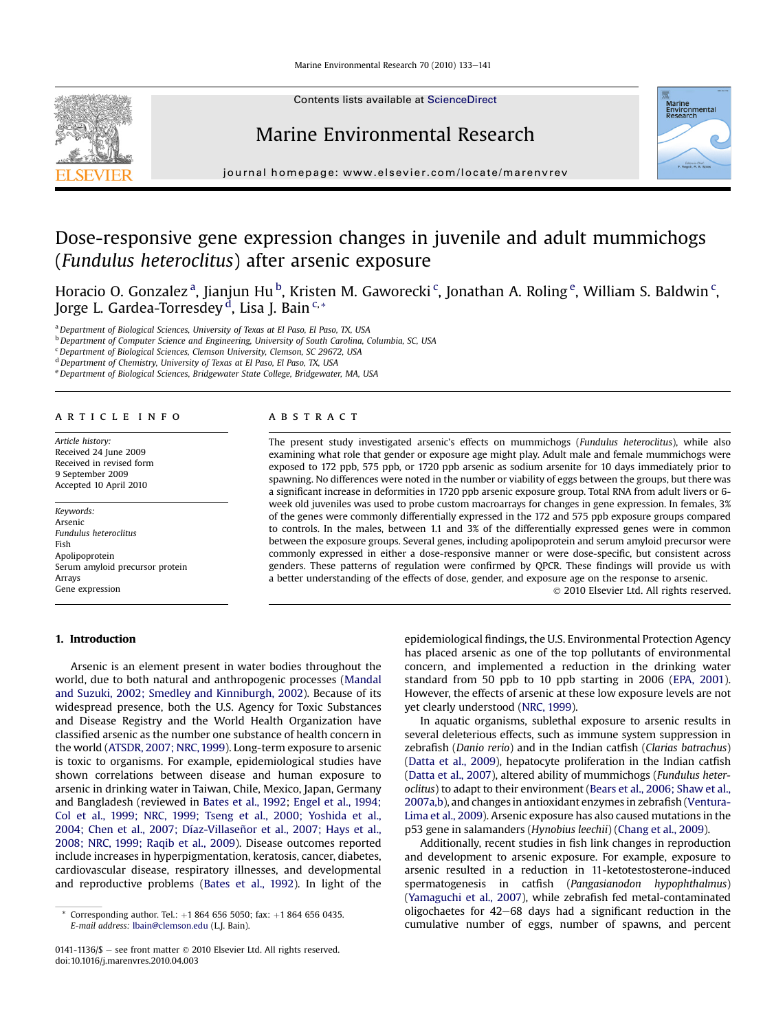

Contents lists available at ScienceDirect

## Marine Environmental Research



journal homepage: [www.elsevier.com/locate/marenvrev](http://www.elsevier.com/locate/marenvrev)

# Dose-responsive gene expression changes in juvenile and adult mummichogs (Fundulus heteroclitus) after arsenic exposure

Horacio O. Gonzalez $^{\rm a}$ , Jianjun Hu $^{\rm b}$ , Kristen M. Gaworecki $^{\rm c}$ , Jonathan A. Roling $^{\rm e}$ , William S. Baldwin $^{\rm c}$ , Jorge L. Gardea-Torresdey <sup>d</sup>, Lisa J. Bain <sup>c,</sup>\*

a Department of Biological Sciences, University of Texas at El Paso, El Paso, TX, USA

<sup>b</sup> Department of Computer Science and Engineering, University of South Carolina, Columbia, SC, USA

<sup>c</sup> Department of Biological Sciences, Clemson University, Clemson, SC 29672, USA

<sup>d</sup> Department of Chemistry, University of Texas at El Paso, El Paso, TX, USA

e Department of Biological Sciences, Bridgewater State College, Bridgewater, MA, USA

## article info

Article history: Received 24 June 2009 Received in revised form 9 September 2009 Accepted 10 April 2010

Keywords: Arsenic Fundulus heteroclitus Fish Apolipoprotein Serum amyloid precursor protein Arrays Gene expression

## 1. Introduction

#### ABSTRACT

The present study investigated arsenic's effects on mummichogs (Fundulus heteroclitus), while also examining what role that gender or exposure age might play. Adult male and female mummichogs were exposed to 172 ppb, 575 ppb, or 1720 ppb arsenic as sodium arsenite for 10 days immediately prior to spawning. No differences were noted in the number or viability of eggs between the groups, but there was a significant increase in deformities in 1720 ppb arsenic exposure group. Total RNA from adult livers or 6 week old juveniles was used to probe custom macroarrays for changes in gene expression. In females, 3% of the genes were commonly differentially expressed in the 172 and 575 ppb exposure groups compared to controls. In the males, between 1.1 and 3% of the differentially expressed genes were in common between the exposure groups. Several genes, including apolipoprotein and serum amyloid precursor were commonly expressed in either a dose-responsive manner or were dose-specific, but consistent across genders. These patterns of regulation were confirmed by QPCR. These findings will provide us with a better understanding of the effects of dose, gender, and exposure age on the response to arsenic.

2010 Elsevier Ltd. All rights reserved.

Arsenic is an element present in water bodies throughout the world, due to both natural and anthropogenic processes [\(Mandal](#page-8-0) [and Suzuki, 2002; Smedley and Kinniburgh, 2002](#page-8-0)). Because of its widespread presence, both the U.S. Agency for Toxic Substances and Disease Registry and the World Health Organization have classified arsenic as the number one substance of health concern in the world ([ATSDR, 2007; NRC, 1999](#page-7-0)). Long-term exposure to arsenic is toxic to organisms. For example, epidemiological studies have shown correlations between disease and human exposure to arsenic in drinking water in Taiwan, Chile, Mexico, Japan, Germany and Bangladesh (reviewed in [Bates et al., 1992](#page-7-0); [Engel et al., 1994;](#page-7-0) [Col et al., 1999; NRC, 1999; Tseng et al., 2000; Yoshida et al.,](#page-7-0) [2004; Chen et al., 2007; Díaz-Villaseñor et al., 2007; Hays et al.,](#page-7-0) [2008; NRC, 1999; Raqib et al., 2009](#page-7-0)). Disease outcomes reported include increases in hyperpigmentation, keratosis, cancer, diabetes, cardiovascular disease, respiratory illnesses, and developmental and reproductive problems ([Bates et al., 1992](#page-7-0)). In light of the

epidemiological findings, the U.S. Environmental Protection Agency has placed arsenic as one of the top pollutants of environmental concern, and implemented a reduction in the drinking water standard from 50 ppb to 10 ppb starting in 2006 [\(EPA, 2001\)](#page-7-0). However, the effects of arsenic at these low exposure levels are not yet clearly understood ([NRC, 1999\)](#page-8-0).

In aquatic organisms, sublethal exposure to arsenic results in several deleterious effects, such as immune system suppression in zebrafish (Danio rerio) and in the Indian catfish (Clarias batrachus) [\(Datta et al., 2009](#page-7-0)), hepatocyte proliferation in the Indian catfish [\(Datta et al., 2007](#page-7-0)), altered ability of mummichogs (Fundulus heteroclitus) to adapt to their environment [\(Bears et al., 2006; Shaw et al.,](#page-7-0) [2007a,b](#page-7-0)), and changes in antioxidant enzymes in zebrafish [\(Ventura-](#page-8-0)[Lima et al., 2009](#page-8-0)). Arsenic exposure has also caused mutations in the p53 gene in salamanders (Hynobius leechii) ([Chang et al., 2009\)](#page-7-0).

Additionally, recent studies in fish link changes in reproduction and development to arsenic exposure. For example, exposure to arsenic resulted in a reduction in 11-ketotestosterone-induced spermatogenesis in catfish (Pangasianodon hypophthalmus) [\(Yamaguchi et al., 2007\)](#page-8-0), while zebrafish fed metal-contaminated oligochaetes for  $42-68$  days had a significant reduction in the cumulative number of eggs, number of spawns, and percent

Corresponding author. Tel.:  $+1$  864 656 5050; fax:  $+1$  864 656 0435. E-mail address: [lbain@clemson.edu](mailto:lbain@clemson.edu) (L.J. Bain).

<sup>0141-1136/\$</sup>  $-$  see front matter  $\odot$  2010 Elsevier Ltd. All rights reserved. doi:10.1016/j.marenvres.2010.04.003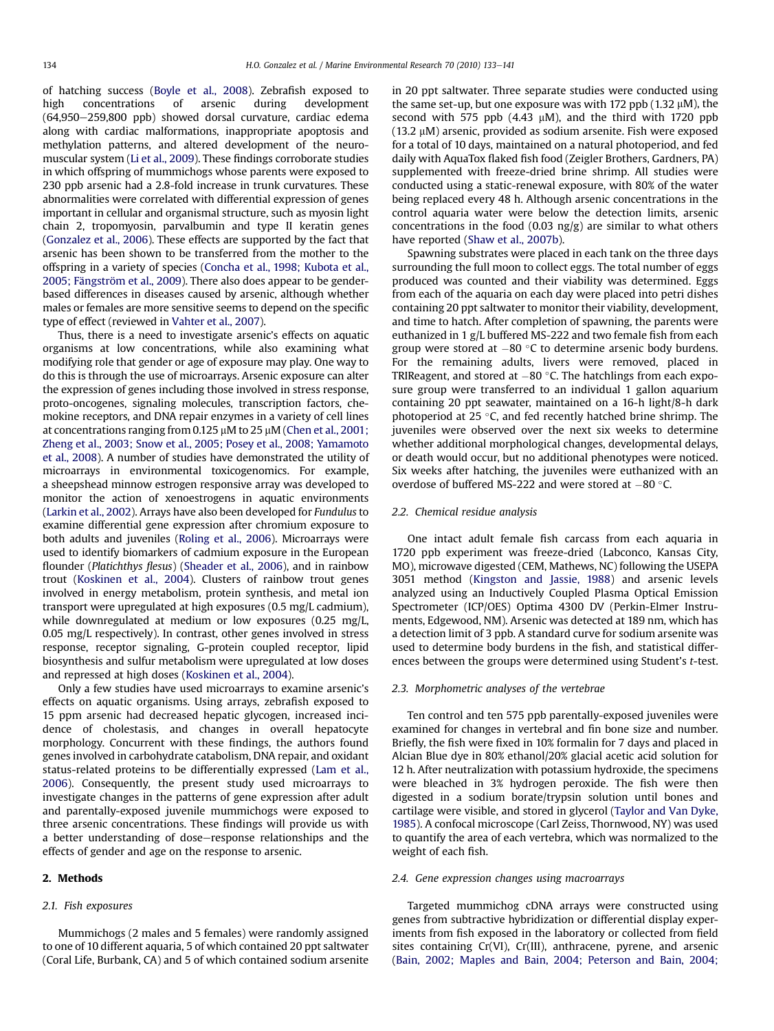of hatching success ([Boyle et al., 2008\)](#page-7-0). Zebrafish exposed to high concentrations of arsenic during development  $(64,950-259,800$  ppb) showed dorsal curvature, cardiac edema along with cardiac malformations, inappropriate apoptosis and methylation patterns, and altered development of the neuromuscular system [\(Li et al., 2009](#page-7-0)). These findings corroborate studies in which offspring of mummichogs whose parents were exposed to 230 ppb arsenic had a 2.8-fold increase in trunk curvatures. These abnormalities were correlated with differential expression of genes important in cellular and organismal structure, such as myosin light chain 2, tropomyosin, parvalbumin and type II keratin genes ([Gonzalez et al., 2006\)](#page-7-0). These effects are supported by the fact that arsenic has been shown to be transferred from the mother to the offspring in a variety of species [\(Concha et al., 1998; Kubota et al.,](#page-7-0) [2005; Fängström et al., 2009\)](#page-7-0). There also does appear to be genderbased differences in diseases caused by arsenic, although whether males or females are more sensitive seems to depend on the specific type of effect (reviewed in [Vahter et al., 2007\)](#page-8-0).

Thus, there is a need to investigate arsenic's effects on aquatic organisms at low concentrations, while also examining what modifying role that gender or age of exposure may play. One way to do this is through the use of microarrays. Arsenic exposure can alter the expression of genes including those involved in stress response, proto-oncogenes, signaling molecules, transcription factors, chemokine receptors, and DNA repair enzymes in a variety of cell lines at concentrations ranging from 0.125  $\mu$ M to 25  $\mu$ M ([Chen et al., 2001;](#page-7-0) [Zheng et al., 2003; Snow et al., 2005; Posey et al., 2008; Yamamoto](#page-7-0) [et al., 2008\)](#page-7-0). A number of studies have demonstrated the utility of microarrays in environmental toxicogenomics. For example, a sheepshead minnow estrogen responsive array was developed to monitor the action of xenoestrogens in aquatic environments ([Larkin et al., 2002\)](#page-7-0). Arrays have also been developed for Fundulus to examine differential gene expression after chromium exposure to both adults and juveniles ([Roling et al., 2006\)](#page-8-0). Microarrays were used to identify biomarkers of cadmium exposure in the European flounder (Platichthys flesus) ([Sheader et al., 2006\)](#page-8-0), and in rainbow trout ([Koskinen et al., 2004\)](#page-7-0). Clusters of rainbow trout genes involved in energy metabolism, protein synthesis, and metal ion transport were upregulated at high exposures (0.5 mg/L cadmium), while downregulated at medium or low exposures (0.25 mg/L, 0.05 mg/L respectively). In contrast, other genes involved in stress response, receptor signaling, G-protein coupled receptor, lipid biosynthesis and sulfur metabolism were upregulated at low doses and repressed at high doses [\(Koskinen et al., 2004](#page-7-0)).

Only a few studies have used microarrays to examine arsenic's effects on aquatic organisms. Using arrays, zebrafish exposed to 15 ppm arsenic had decreased hepatic glycogen, increased incidence of cholestasis, and changes in overall hepatocyte morphology. Concurrent with these findings, the authors found genes involved in carbohydrate catabolism, DNA repair, and oxidant status-related proteins to be differentially expressed [\(Lam et al.,](#page-7-0) [2006](#page-7-0)). Consequently, the present study used microarrays to investigate changes in the patterns of gene expression after adult and parentally-exposed juvenile mummichogs were exposed to three arsenic concentrations. These findings will provide us with a better understanding of dose-response relationships and the effects of gender and age on the response to arsenic.

## 2. Methods

## 2.1. Fish exposures

Mummichogs (2 males and 5 females) were randomly assigned to one of 10 different aquaria, 5 of which contained 20 ppt saltwater (Coral Life, Burbank, CA) and 5 of which contained sodium arsenite in 20 ppt saltwater. Three separate studies were conducted using the same set-up, but one exposure was with 172 ppb  $(1.32 \mu M)$ , the second with 575 ppb  $(4.43 \mu M)$ , and the third with 1720 ppb  $(13.2 \mu M)$  arsenic, provided as sodium arsenite. Fish were exposed for a total of 10 days, maintained on a natural photoperiod, and fed daily with AquaTox flaked fish food (Zeigler Brothers, Gardners, PA) supplemented with freeze-dried brine shrimp. All studies were conducted using a static-renewal exposure, with 80% of the water being replaced every 48 h. Although arsenic concentrations in the control aquaria water were below the detection limits, arsenic concentrations in the food (0.03 ng/g) are similar to what others have reported [\(Shaw et al., 2007b\)](#page-8-0).

Spawning substrates were placed in each tank on the three days surrounding the full moon to collect eggs. The total number of eggs produced was counted and their viability was determined. Eggs from each of the aquaria on each day were placed into petri dishes containing 20 ppt saltwater to monitor their viability, development, and time to hatch. After completion of spawning, the parents were euthanized in 1 g/L buffered MS-222 and two female fish from each group were stored at  $-80$  °C to determine arsenic body burdens. For the remaining adults, livers were removed, placed in TRIReagent, and stored at  $-80$  °C. The hatchlings from each exposure group were transferred to an individual 1 gallon aquarium containing 20 ppt seawater, maintained on a 16-h light/8-h dark photoperiod at 25 $\degree$ C, and fed recently hatched brine shrimp. The juveniles were observed over the next six weeks to determine whether additional morphological changes, developmental delays, or death would occur, but no additional phenotypes were noticed. Six weeks after hatching, the juveniles were euthanized with an overdose of buffered MS-222 and were stored at  $-80$  °C.

## 2.2. Chemical residue analysis

One intact adult female fish carcass from each aquaria in 1720 ppb experiment was freeze-dried (Labconco, Kansas City, MO), microwave digested (CEM, Mathews, NC) following the USEPA 3051 method [\(Kingston and Jassie, 1988\)](#page-7-0) and arsenic levels analyzed using an Inductively Coupled Plasma Optical Emission Spectrometer (ICP/OES) Optima 4300 DV (Perkin-Elmer Instruments, Edgewood, NM). Arsenic was detected at 189 nm, which has a detection limit of 3 ppb. A standard curve for sodium arsenite was used to determine body burdens in the fish, and statistical differences between the groups were determined using Student's t-test.

### 2.3. Morphometric analyses of the vertebrae

Ten control and ten 575 ppb parentally-exposed juveniles were examined for changes in vertebral and fin bone size and number. Briefly, the fish were fixed in 10% formalin for 7 days and placed in Alcian Blue dye in 80% ethanol/20% glacial acetic acid solution for 12 h. After neutralization with potassium hydroxide, the specimens were bleached in 3% hydrogen peroxide. The fish were then digested in a sodium borate/trypsin solution until bones and cartilage were visible, and stored in glycerol [\(Taylor and Van Dyke,](#page-8-0) [1985](#page-8-0)). A confocal microscope (Carl Zeiss, Thornwood, NY) was used to quantify the area of each vertebra, which was normalized to the weight of each fish.

#### 2.4. Gene expression changes using macroarrays

Targeted mummichog cDNA arrays were constructed using genes from subtractive hybridization or differential display experiments from fish exposed in the laboratory or collected from field sites containing Cr(VI), Cr(III), anthracene, pyrene, and arsenic ([Bain, 2002; Maples and Bain, 2004; Peterson and Bain, 2004;](#page-7-0)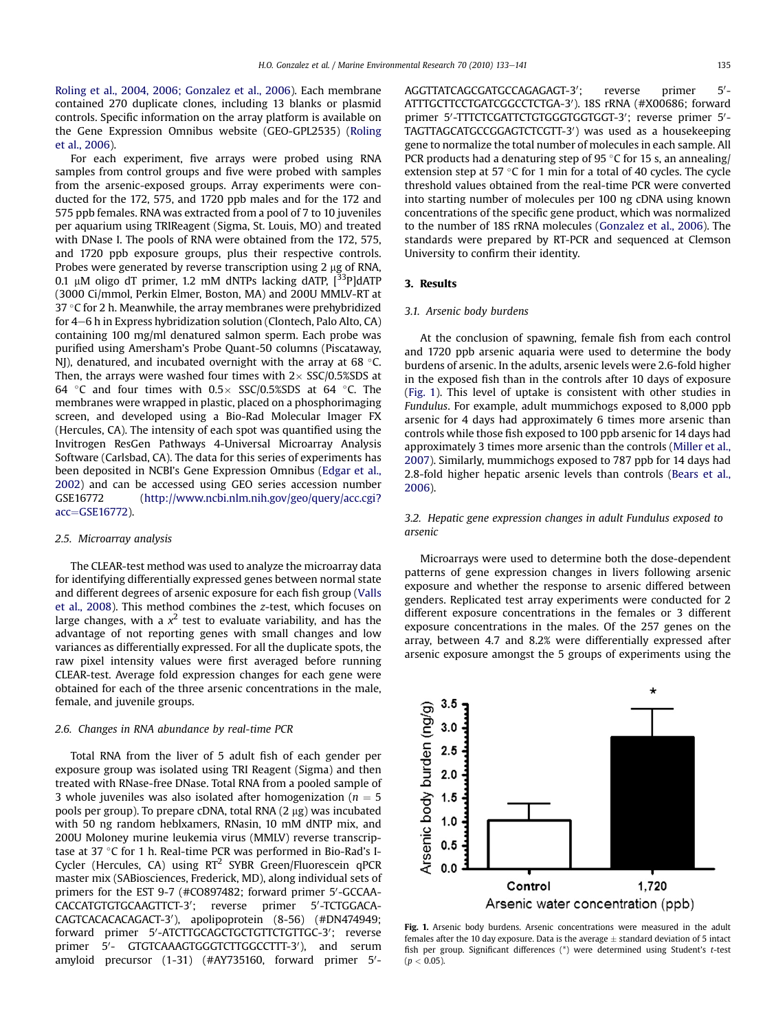[Roling et al., 2004, 2006; Gonzalez et al., 2006\)](#page-7-0). Each membrane contained 270 duplicate clones, including 13 blanks or plasmid controls. Specific information on the array platform is available on the Gene Expression Omnibus website (GEO-GPL2535) ([Roling](#page-8-0) [et al., 2006\)](#page-8-0).

For each experiment, five arrays were probed using RNA samples from control groups and five were probed with samples from the arsenic-exposed groups. Array experiments were conducted for the 172, 575, and 1720 ppb males and for the 172 and 575 ppb females. RNA was extracted from a pool of 7 to 10 juveniles per aquarium using TRIReagent (Sigma, St. Louis, MO) and treated with DNase I. The pools of RNA were obtained from the 172, 575, and 1720 ppb exposure groups, plus their respective controls. Probes were generated by reverse transcription using  $2 \mu$ g of RNA, 0.1  $\mu$ M oligo dT primer, 1.2 mM dNTPs lacking dATP,  $[33P]$ dATP (3000 Ci/mmol, Perkin Elmer, Boston, MA) and 200U MMLV-RT at 37  $\degree$ C for 2 h. Meanwhile, the array membranes were prehybridized for  $4-6$  h in Express hybridization solution (Clontech, Palo Alto, CA) containing 100 mg/ml denatured salmon sperm. Each probe was purified using Amersham's Probe Quant-50 columns (Piscataway, NJ), denatured, and incubated overnight with the array at 68  $\degree$ C. Then, the arrays were washed four times with  $2 \times$  SSC/0.5%SDS at 64 °C and four times with  $0.5 \times$  SSC/0.5%SDS at 64 °C. The membranes were wrapped in plastic, placed on a phosphorimaging screen, and developed using a Bio-Rad Molecular Imager FX (Hercules, CA). The intensity of each spot was quantified using the Invitrogen ResGen Pathways 4-Universal Microarray Analysis Software (Carlsbad, CA). The data for this series of experiments has been deposited in NCBI's Gene Expression Omnibus [\(Edgar et al.,](#page-7-0) [2002\)](#page-7-0) and can be accessed using GEO series accession number GSE16772 [\(http://www.ncbi.nlm.nih.gov/geo/query/acc.cgi?](http://www.ncbi.nlm.nih.gov/geo/query/acc.cgi%3Facc%3DGSE16772) [acc](http://www.ncbi.nlm.nih.gov/geo/query/acc.cgi%3Facc%3DGSE16772)=[GSE16772](http://www.ncbi.nlm.nih.gov/geo/query/acc.cgi%3Facc%3DGSE16772)).

### 2.5. Microarray analysis

The CLEAR-test method was used to analyze the microarray data for identifying differentially expressed genes between normal state and different degrees of arsenic exposure for each fish group [\(Valls](#page-8-0) [et al., 2008\)](#page-8-0). This method combines the z-test, which focuses on large changes, with a  $x^2$  test to evaluate variability, and has the advantage of not reporting genes with small changes and low variances as differentially expressed. For all the duplicate spots, the raw pixel intensity values were first averaged before running CLEAR-test. Average fold expression changes for each gene were obtained for each of the three arsenic concentrations in the male, female, and juvenile groups.

## 2.6. Changes in RNA abundance by real-time PCR

Total RNA from the liver of 5 adult fish of each gender per exposure group was isolated using TRI Reagent (Sigma) and then treated with RNase-free DNase. Total RNA from a pooled sample of 3 whole juveniles was also isolated after homogenization ( $n = 5$ pools per group). To prepare cDNA, total RNA  $(2 \mu g)$  was incubated with 50 ng random heblxamers, RNasin, 10 mM dNTP mix, and 200U Moloney murine leukemia virus (MMLV) reverse transcriptase at 37  $\degree$ C for 1 h. Real-time PCR was performed in Bio-Rad's I-Cycler (Hercules, CA) using RT<sup>2</sup> SYBR Green/Fluorescein qPCR master mix (SABiosciences, Frederick, MD), along individual sets of primers for the EST 9-7 (#CO897482; forward primer 5'-GCCAA-CACCATGTGTGCAAGTTCT-3'; reverse primer 5'-TCTGGACA-CAGTCACACACAGACT-3'), apolipoprotein (8-56) (#DN474949; forward primer 5'-ATCTTGCAGCTGCTGTTCTGTTGC-3'; reverse primer 5'- GTGTCAAAGTGGGTCTTGGCCTTT-3'), and serum amyloid precursor (1-31) (#AY735160, forward primer 5'-

AGGTTATCAGCGATGCCAGAGAGT-3': reverse primer  $5'$ ATTTGCTTCCTGATCGGCCTCTGA-3'). 18S rRNA (#X00686; forward primer 5'-TTTCTCGATTCTGTGGGTGGTGGT-3'; reverse primer 5'-TAGTTAGCATGCCGGAGTCTCGTT-3') was used as a housekeeping gene to normalize the total number of molecules in each sample. All PCR products had a denaturing step of 95  $\degree$ C for 15 s, an annealing/ extension step at 57 $\degree$ C for 1 min for a total of 40 cycles. The cycle threshold values obtained from the real-time PCR were converted into starting number of molecules per 100 ng cDNA using known concentrations of the specific gene product, which was normalized to the number of 18S rRNA molecules [\(Gonzalez et al., 2006](#page-7-0)). The standards were prepared by RT-PCR and sequenced at Clemson University to confirm their identity.

## 3. Results

## 3.1. Arsenic body burdens

At the conclusion of spawning, female fish from each control and 1720 ppb arsenic aquaria were used to determine the body burdens of arsenic. In the adults, arsenic levels were 2.6-fold higher in the exposed fish than in the controls after 10 days of exposure (Fig. 1). This level of uptake is consistent with other studies in Fundulus. For example, adult mummichogs exposed to 8,000 ppb arsenic for 4 days had approximately 6 times more arsenic than controls while those fish exposed to 100 ppb arsenic for 14 days had approximately 3 times more arsenic than the controls [\(Miller et al.,](#page-8-0) [2007\)](#page-8-0). Similarly, mummichogs exposed to 787 ppb for 14 days had 2.8-fold higher hepatic arsenic levels than controls [\(Bears et al.,](#page-7-0) [2006\)](#page-7-0).

## 3.2. Hepatic gene expression changes in adult Fundulus exposed to arsenic

Microarrays were used to determine both the dose-dependent patterns of gene expression changes in livers following arsenic exposure and whether the response to arsenic differed between genders. Replicated test array experiments were conducted for 2 different exposure concentrations in the females or 3 different exposure concentrations in the males. Of the 257 genes on the array, between 4.7 and 8.2% were differentially expressed after arsenic exposure amongst the 5 groups of experiments using the



Fig. 1. Arsenic body burdens. Arsenic concentrations were measured in the adult females after the 10 day exposure. Data is the average  $\pm$  standard deviation of 5 intact fish per group. Significant differences (\*) were determined using Student's t-test  $(p < 0.05)$ .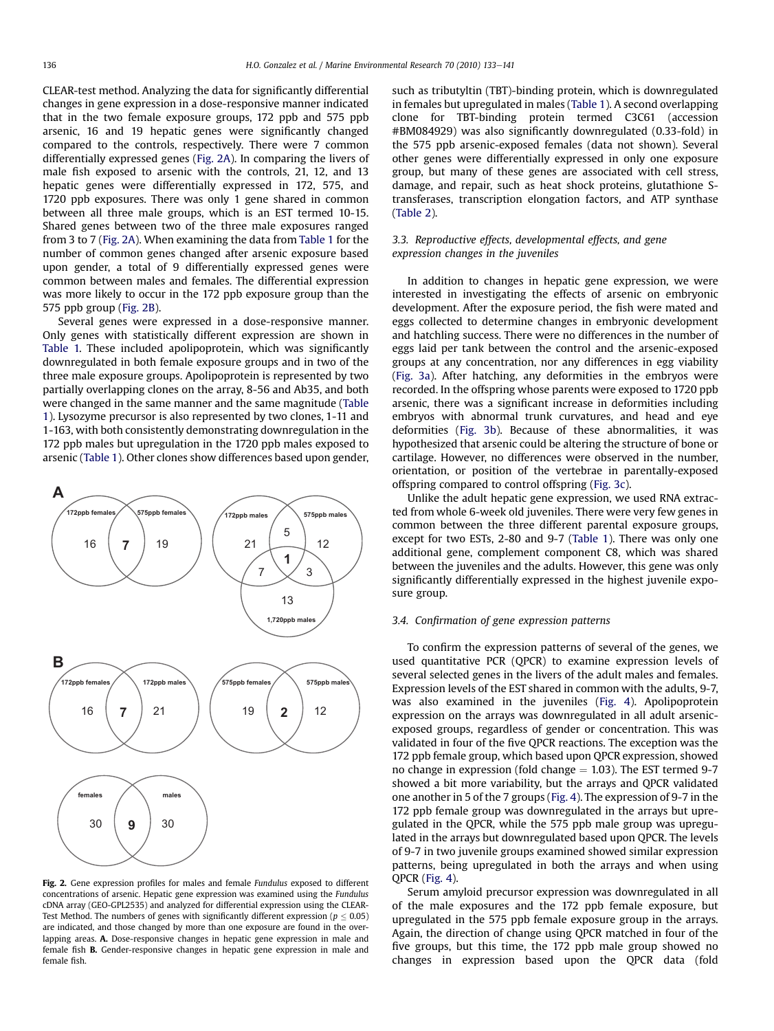CLEAR-test method. Analyzing the data for significantly differential changes in gene expression in a dose-responsive manner indicated that in the two female exposure groups, 172 ppb and 575 ppb arsenic, 16 and 19 hepatic genes were significantly changed compared to the controls, respectively. There were 7 common differentially expressed genes (Fig. 2A). In comparing the livers of male fish exposed to arsenic with the controls, 21, 12, and 13 hepatic genes were differentially expressed in 172, 575, and 1720 ppb exposures. There was only 1 gene shared in common between all three male groups, which is an EST termed 10-15. Shared genes between two of the three male exposures ranged from 3 to 7 (Fig. 2A). When examining the data from [Table 1](#page-4-0) for the number of common genes changed after arsenic exposure based upon gender, a total of 9 differentially expressed genes were common between males and females. The differential expression was more likely to occur in the 172 ppb exposure group than the 575 ppb group (Fig. 2B).

Several genes were expressed in a dose-responsive manner. Only genes with statistically different expression are shown in [Table 1.](#page-4-0) These included apolipoprotein, which was significantly downregulated in both female exposure groups and in two of the three male exposure groups. Apolipoprotein is represented by two partially overlapping clones on the array, 8-56 and Ab35, and both were changed in the same manner and the same magnitude [\(Table](#page-4-0) [1\)](#page-4-0). Lysozyme precursor is also represented by two clones, 1-11 and 1-163, with both consistently demonstrating downregulation in the 172 ppb males but upregulation in the 1720 ppb males exposed to arsenic [\(Table 1\)](#page-4-0). Other clones show differences based upon gender,



Fig. 2. Gene expression profiles for males and female Fundulus exposed to different concentrations of arsenic. Hepatic gene expression was examined using the Fundulus cDNA array (GEO-GPL2535) and analyzed for differential expression using the CLEAR-Test Method. The numbers of genes with significantly different expression ( $p \leq 0.05$ ) are indicated, and those changed by more than one exposure are found in the overlapping areas. A. Dose-responsive changes in hepatic gene expression in male and female fish B. Gender-responsive changes in hepatic gene expression in male and female fish.

such as tributyltin (TBT)-binding protein, which is downregulated in females but upregulated in males ([Table 1](#page-4-0)). A second overlapping clone for TBT-binding protein termed C3C61 (accession #BM084929) was also significantly downregulated (0.33-fold) in the 575 ppb arsenic-exposed females (data not shown). Several other genes were differentially expressed in only one exposure group, but many of these genes are associated with cell stress, damage, and repair, such as heat shock proteins, glutathione Stransferases, transcription elongation factors, and ATP synthase ([Table 2\)](#page-4-0).

## 3.3. Reproductive effects, developmental effects, and gene expression changes in the juveniles

In addition to changes in hepatic gene expression, we were interested in investigating the effects of arsenic on embryonic development. After the exposure period, the fish were mated and eggs collected to determine changes in embryonic development and hatchling success. There were no differences in the number of eggs laid per tank between the control and the arsenic-exposed groups at any concentration, nor any differences in egg viability ([Fig. 3a](#page-5-0)). After hatching, any deformities in the embryos were recorded. In the offspring whose parents were exposed to 1720 ppb arsenic, there was a significant increase in deformities including embryos with abnormal trunk curvatures, and head and eye deformities ([Fig. 3b\)](#page-5-0). Because of these abnormalities, it was hypothesized that arsenic could be altering the structure of bone or cartilage. However, no differences were observed in the number, orientation, or position of the vertebrae in parentally-exposed offspring compared to control offspring [\(Fig. 3c](#page-5-0)).

Unlike the adult hepatic gene expression, we used RNA extracted from whole 6-week old juveniles. There were very few genes in common between the three different parental exposure groups, except for two ESTs, 2-80 and 9-7 ([Table 1\)](#page-4-0). There was only one additional gene, complement component C8, which was shared between the juveniles and the adults. However, this gene was only significantly differentially expressed in the highest juvenile exposure group.

## 3.4. Confirmation of gene expression patterns

To confirm the expression patterns of several of the genes, we used quantitative PCR (QPCR) to examine expression levels of several selected genes in the livers of the adult males and females. Expression levels of the EST shared in common with the adults, 9-7, was also examined in the juveniles [\(Fig. 4](#page-6-0)). Apolipoprotein expression on the arrays was downregulated in all adult arsenicexposed groups, regardless of gender or concentration. This was validated in four of the five QPCR reactions. The exception was the 172 ppb female group, which based upon QPCR expression, showed no change in expression (fold change  $= 1.03$ ). The EST termed 9-7 showed a bit more variability, but the arrays and QPCR validated one another in 5 of the 7 groups [\(Fig. 4\)](#page-6-0). The expression of 9-7 in the 172 ppb female group was downregulated in the arrays but upregulated in the QPCR, while the 575 ppb male group was upregulated in the arrays but downregulated based upon QPCR. The levels of 9-7 in two juvenile groups examined showed similar expression patterns, being upregulated in both the arrays and when using QPCR ([Fig. 4\)](#page-6-0).

Serum amyloid precursor expression was downregulated in all of the male exposures and the 172 ppb female exposure, but upregulated in the 575 ppb female exposure group in the arrays. Again, the direction of change using QPCR matched in four of the five groups, but this time, the 172 ppb male group showed no changes in expression based upon the QPCR data (fold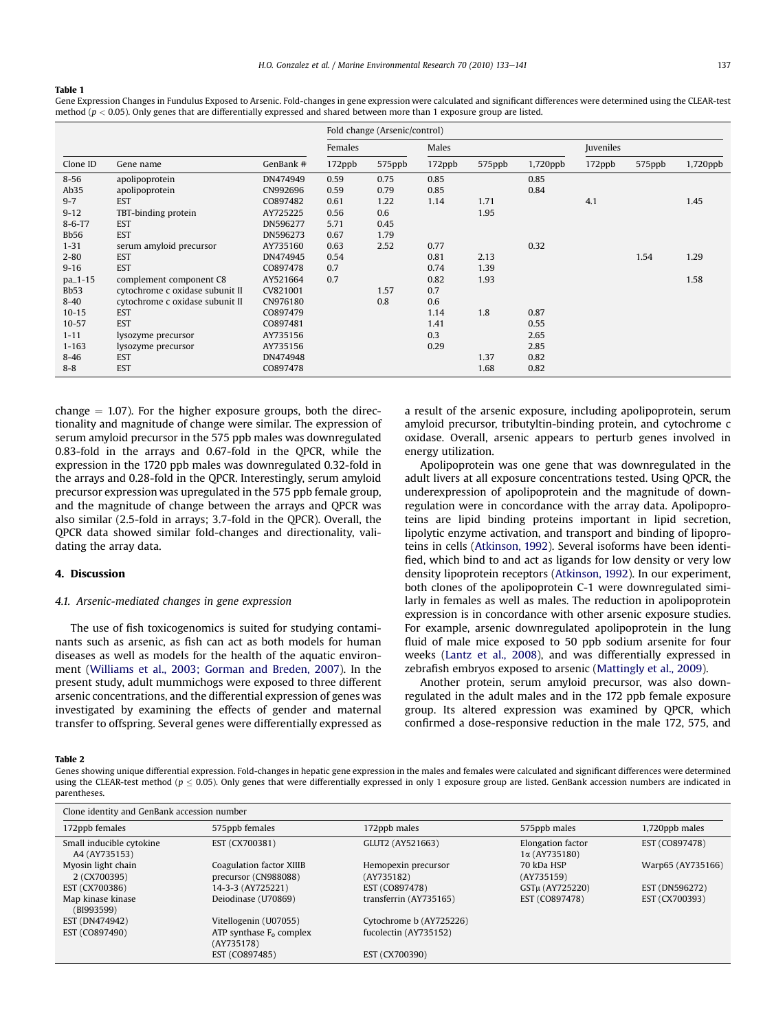#### <span id="page-4-0"></span>Table 1

Gene Expression Changes in Fundulus Exposed to Arsenic. Fold-changes in gene expression were calculated and significant differences were determined using the CLEAR-test method ( $p < 0.05$ ). Only genes that are differentially expressed and shared between more than 1 exposure group are listed.

|              |                                 |           | Fold change (Arsenic/control) |        |        |        |             |           |        |          |
|--------------|---------------------------------|-----------|-------------------------------|--------|--------|--------|-------------|-----------|--------|----------|
|              |                                 |           | Females                       |        | Males  |        |             | Juveniles |        |          |
| Clone ID     | Gene name                       | GenBank # | 172ppb                        | 575ppb | 172ppb | 575ppb | $1,720$ ppb | 172ppb    | 575ppb | 1,720ppb |
| $8 - 56$     | apolipoprotein                  | DN474949  | 0.59                          | 0.75   | 0.85   |        | 0.85        |           |        |          |
| Ab35         | apolipoprotein                  | CN992696  | 0.59                          | 0.79   | 0.85   |        | 0.84        |           |        |          |
| $9 - 7$      | <b>EST</b>                      | CO897482  | 0.61                          | 1.22   | 1.14   | 1.71   |             | 4.1       |        | 1.45     |
| $9 - 12$     | TBT-binding protein             | AY725225  | 0.56                          | 0.6    |        | 1.95   |             |           |        |          |
| $8 - 6 - T7$ | <b>EST</b>                      | DN596277  | 5.71                          | 0.45   |        |        |             |           |        |          |
| <b>Bb56</b>  | <b>EST</b>                      | DN596273  | 0.67                          | 1.79   |        |        |             |           |        |          |
| $1 - 31$     | serum amyloid precursor         | AY735160  | 0.63                          | 2.52   | 0.77   |        | 0.32        |           |        |          |
| $2 - 80$     | <b>EST</b>                      | DN474945  | 0.54                          |        | 0.81   | 2.13   |             |           | 1.54   | 1.29     |
| $9 - 16$     | <b>EST</b>                      | CO897478  | 0.7                           |        | 0.74   | 1.39   |             |           |        |          |
| pa_1-15      | complement component C8         | AY521664  | 0.7                           |        | 0.82   | 1.93   |             |           |        | 1.58     |
| <b>Bb53</b>  | cytochrome c oxidase subunit II | CV821001  |                               | 1.57   | 0.7    |        |             |           |        |          |
| $8 - 40$     | cytochrome c oxidase subunit II | CN976180  |                               | 0.8    | 0.6    |        |             |           |        |          |
| $10 - 15$    | <b>EST</b>                      | CO897479  |                               |        | 1.14   | 1.8    | 0.87        |           |        |          |
| $10 - 57$    | <b>EST</b>                      | CO897481  |                               |        | 1.41   |        | 0.55        |           |        |          |
| $1 - 11$     | lysozyme precursor              | AY735156  |                               |        | 0.3    |        | 2.65        |           |        |          |
| $1 - 163$    | lysozyme precursor              | AY735156  |                               |        | 0.29   |        | 2.85        |           |        |          |
| $8 - 46$     | <b>EST</b>                      | DN474948  |                               |        |        | 1.37   | 0.82        |           |        |          |
| $8 - 8$      | <b>EST</b>                      | CO897478  |                               |        |        | 1.68   | 0.82        |           |        |          |

change  $= 1.07$ ). For the higher exposure groups, both the directionality and magnitude of change were similar. The expression of serum amyloid precursor in the 575 ppb males was downregulated 0.83-fold in the arrays and 0.67-fold in the QPCR, while the expression in the 1720 ppb males was downregulated 0.32-fold in the arrays and 0.28-fold in the QPCR. Interestingly, serum amyloid precursor expression was upregulated in the 575 ppb female group, and the magnitude of change between the arrays and QPCR was also similar (2.5-fold in arrays; 3.7-fold in the QPCR). Overall, the QPCR data showed similar fold-changes and directionality, validating the array data.

## 4. Discussion

### 4.1. Arsenic-mediated changes in gene expression

The use of fish toxicogenomics is suited for studying contaminants such as arsenic, as fish can act as both models for human diseases as well as models for the health of the aquatic environment [\(Williams et al., 2003; Gorman and Breden, 2007](#page-8-0)). In the present study, adult mummichogs were exposed to three different arsenic concentrations, and the differential expression of genes was investigated by examining the effects of gender and maternal transfer to offspring. Several genes were differentially expressed as a result of the arsenic exposure, including apolipoprotein, serum amyloid precursor, tributyltin-binding protein, and cytochrome c oxidase. Overall, arsenic appears to perturb genes involved in energy utilization.

Apolipoprotein was one gene that was downregulated in the adult livers at all exposure concentrations tested. Using QPCR, the underexpression of apolipoprotein and the magnitude of downregulation were in concordance with the array data. Apolipoproteins are lipid binding proteins important in lipid secretion, lipolytic enzyme activation, and transport and binding of lipoproteins in cells ([Atkinson, 1992\)](#page-7-0). Several isoforms have been identified, which bind to and act as ligands for low density or very low density lipoprotein receptors [\(Atkinson, 1992\)](#page-7-0). In our experiment, both clones of the apolipoprotein C-1 were downregulated similarly in females as well as males. The reduction in apolipoprotein expression is in concordance with other arsenic exposure studies. For example, arsenic downregulated apolipoprotein in the lung fluid of male mice exposed to 50 ppb sodium arsenite for four weeks ([Lantz et al., 2008](#page-7-0)), and was differentially expressed in zebrafish embryos exposed to arsenic [\(Mattingly et al., 2009](#page-8-0)).

Another protein, serum amyloid precursor, was also downregulated in the adult males and in the 172 ppb female exposure group. Its altered expression was examined by QPCR, which confirmed a dose-responsive reduction in the male 172, 575, and

### Table 2

Genes showing unique differential expression. Fold-changes in hepatic gene expression in the males and females were calculated and significant differences were determined using the CLEAR-test method ( $p \le 0.05$ ). Only genes that were differentially expressed in only 1 exposure group are listed. GenBank accession numbers are indicated in parentheses.

| Clone identity and GenBank accession number |                                                  |                                   |                                           |                   |
|---------------------------------------------|--------------------------------------------------|-----------------------------------|-------------------------------------------|-------------------|
| 172ppb females                              | 575ppb females                                   | 172ppb males                      | 575ppb males                              | 1,720ppb males    |
| Small inducible cytokine<br>A4 (AY735153)   | EST (CX700381)                                   | GLUT2 (AY521663)                  | Elongation factor<br>$1\alpha$ (AY735180) | EST (CO897478)    |
| Myosin light chain<br>2 (CX700395)          | Coagulation factor XIIIB<br>precursor (CN988088) | Hemopexin precursor<br>(AY735182) | 70 kDa HSP<br>(AY735159)                  | Warp65 (AY735166) |
| EST (CX700386)                              | 14-3-3 (AY725221)                                | EST (CO897478)                    | GSTµ (AY725220)                           | EST (DN596272)    |
| Map kinase kinase<br>(BI993599)             | Deiodinase (U70869)                              | transferrin (AY735165)            | EST (CO897478)                            | EST (CX700393)    |
| EST (DN474942)                              | Vitellogenin (U07055)                            | Cytochrome b (AY725226)           |                                           |                   |
| EST (CO897490)                              | ATP synthase $F_0$ complex<br>(AY735178)         | fucolectin (AY735152)             |                                           |                   |
|                                             | EST (CO897485)                                   | EST (CX700390)                    |                                           |                   |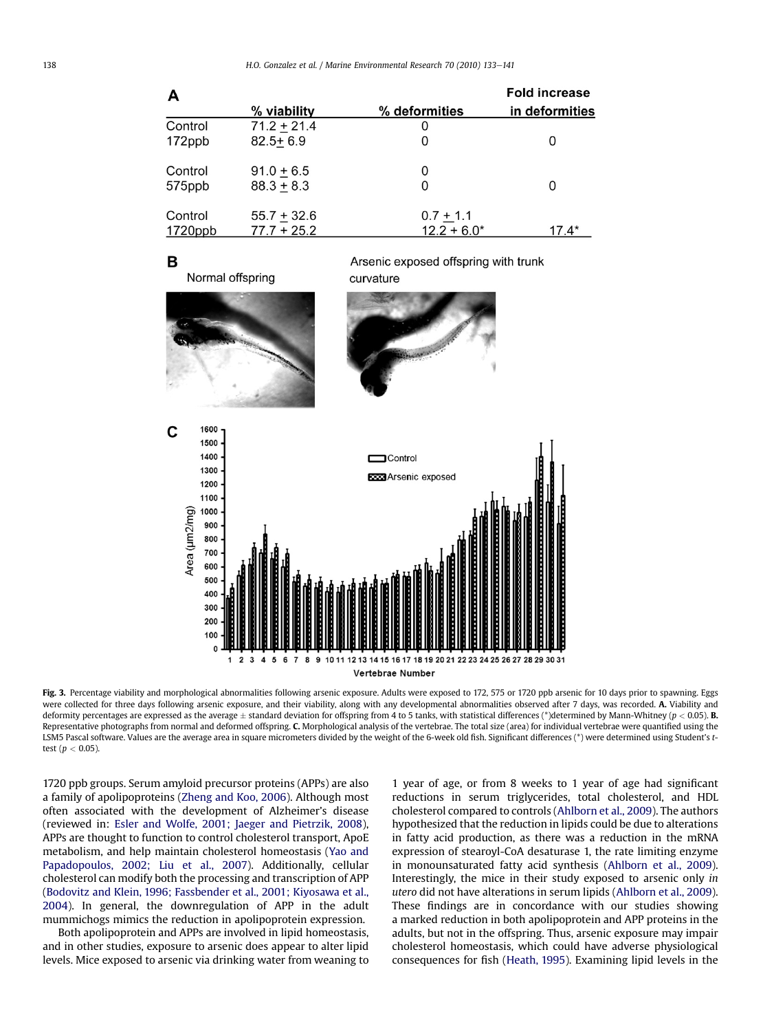<span id="page-5-0"></span>

| А       |               |               | <b>Fold increase</b> |
|---------|---------------|---------------|----------------------|
|         | % viability   | % deformities | in deformities       |
| Control | $71.2 + 21.4$ | O             |                      |
| 172ppb  | $82.5 + 6.9$  | 0             | 0                    |
| Control | $91.0 + 6.5$  | 0             |                      |
| 575ppb  | $88.3 + 8.3$  | 0             | 0                    |
| Control | $55.7 + 32.6$ | $0.7 + 1.1$   |                      |
| 1720ppb | $77.7 + 25.2$ | $12.2 + 6.0*$ | $17.4*$              |

## B

Normal offspring

Arsenic exposed offspring with trunk curvature



Fig. 3. Percentage viability and morphological abnormalities following arsenic exposure. Adults were exposed to 172, 575 or 1720 ppb arsenic for 10 days prior to spawning. Eggs were collected for three days following arsenic exposure, and their viability, along with any developmental abnormalities observed after 7 days, was recorded. A. Viability and deformity percentages are expressed as the average  $\pm$  standard deviation for offspring from 4 to 5 tanks, with statistical differences (\*)determined by Mann-Whitney (p < 0.05). B. Representative photographs from normal and deformed offspring, C. Morphological analysis of the vertebrae. The total size (area) for individual vertebrae were quantified using the LSM5 Pascal software. Values are the average area in square micrometers divided by the weight of the 6-week old fish. Significant differences (\*) were determined using Student's ttest ( $p < 0.05$ ).

1720 ppb groups. Serum amyloid precursor proteins (APPs) are also a family of apolipoproteins ([Zheng and Koo, 2006](#page-8-0)). Although most often associated with the development of Alzheimer's disease (reviewed in: [Esler and Wolfe, 2001; Jaeger and Pietrzik, 2008\)](#page-7-0), APPs are thought to function to control cholesterol transport, ApoE metabolism, and help maintain cholesterol homeostasis [\(Yao and](#page-8-0) [Papadopoulos, 2002; Liu et al., 2007](#page-8-0)). Additionally, cellular cholesterol can modify both the processing and transcription of APP ([Bodovitz and Klein, 1996; Fassbender et al., 2001; Kiyosawa et al.,](#page-7-0) [2004](#page-7-0)). In general, the downregulation of APP in the adult mummichogs mimics the reduction in apolipoprotein expression.

Both apolipoprotein and APPs are involved in lipid homeostasis, and in other studies, exposure to arsenic does appear to alter lipid levels. Mice exposed to arsenic via drinking water from weaning to 1 year of age, or from 8 weeks to 1 year of age had significant reductions in serum triglycerides, total cholesterol, and HDL cholesterol compared to controls [\(Ahlborn et al., 2009\)](#page-7-0). The authors hypothesized that the reduction in lipids could be due to alterations in fatty acid production, as there was a reduction in the mRNA expression of stearoyl-CoA desaturase 1, the rate limiting enzyme in monounsaturated fatty acid synthesis ([Ahlborn et al., 2009\)](#page-7-0). Interestingly, the mice in their study exposed to arsenic only in utero did not have alterations in serum lipids [\(Ahlborn et al., 2009\)](#page-7-0). These findings are in concordance with our studies showing a marked reduction in both apolipoprotein and APP proteins in the adults, but not in the offspring. Thus, arsenic exposure may impair cholesterol homeostasis, which could have adverse physiological consequences for fish ([Heath, 1995](#page-7-0)). Examining lipid levels in the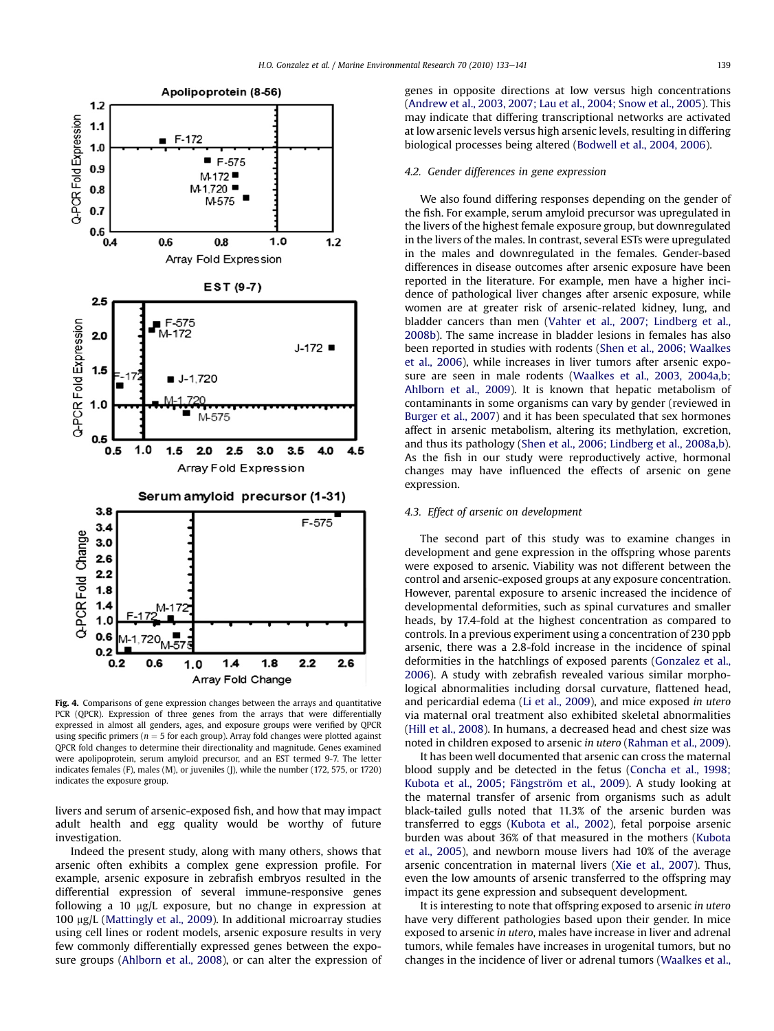<span id="page-6-0"></span>

Fig. 4. Comparisons of gene expression changes between the arrays and quantitative PCR (QPCR). Expression of three genes from the arrays that were differentially expressed in almost all genders, ages, and exposure groups were verified by QPCR using specific primers ( $n = 5$  for each group). Array fold changes were plotted against QPCR fold changes to determine their directionality and magnitude. Genes examined were apolipoprotein, serum amyloid precursor, and an EST termed 9-7. The letter indicates females (F), males (M), or juveniles (J), while the number (172, 575, or 1720) indicates the exposure group.

livers and serum of arsenic-exposed fish, and how that may impact adult health and egg quality would be worthy of future investigation.

Indeed the present study, along with many others, shows that arsenic often exhibits a complex gene expression profile. For example, arsenic exposure in zebrafish embryos resulted in the differential expression of several immune-responsive genes following a 10  $\mu$ g/L exposure, but no change in expression at 100 mg/L [\(Mattingly et al., 2009](#page-8-0)). In additional microarray studies using cell lines or rodent models, arsenic exposure results in very few commonly differentially expressed genes between the exposure groups ([Ahlborn et al., 2008](#page-7-0)), or can alter the expression of genes in opposite directions at low versus high concentrations ([Andrew et al., 2003, 2007; Lau et al., 2004; Snow et al., 2005](#page-7-0)). This may indicate that differing transcriptional networks are activated at low arsenic levels versus high arsenic levels, resulting in differing biological processes being altered [\(Bodwell et al., 2004, 2006](#page-7-0)).

#### 4.2. Gender differences in gene expression

We also found differing responses depending on the gender of the fish. For example, serum amyloid precursor was upregulated in the livers of the highest female exposure group, but downregulated in the livers of the males. In contrast, several ESTs were upregulated in the males and downregulated in the females. Gender-based differences in disease outcomes after arsenic exposure have been reported in the literature. For example, men have a higher incidence of pathological liver changes after arsenic exposure, while women are at greater risk of arsenic-related kidney, lung, and bladder cancers than men [\(Vahter et al., 2007; Lindberg et al.,](#page-8-0) [2008b](#page-8-0)). The same increase in bladder lesions in females has also been reported in studies with rodents ([Shen et al., 2006; Waalkes](#page-8-0) [et al., 2006\)](#page-8-0), while increases in liver tumors after arsenic exposure are seen in male rodents [\(Waalkes et al., 2003, 2004a,b;](#page-8-0) [Ahlborn et al., 2009\)](#page-8-0). It is known that hepatic metabolism of contaminants in some organisms can vary by gender (reviewed in [Burger et al., 2007](#page-7-0)) and it has been speculated that sex hormones affect in arsenic metabolism, altering its methylation, excretion, and thus its pathology ([Shen et al., 2006; Lindberg et al., 2008a,b\)](#page-8-0). As the fish in our study were reproductively active, hormonal changes may have influenced the effects of arsenic on gene expression.

### 4.3. Effect of arsenic on development

The second part of this study was to examine changes in development and gene expression in the offspring whose parents were exposed to arsenic. Viability was not different between the control and arsenic-exposed groups at any exposure concentration. However, parental exposure to arsenic increased the incidence of developmental deformities, such as spinal curvatures and smaller heads, by 17.4-fold at the highest concentration as compared to controls. In a previous experiment using a concentration of 230 ppb arsenic, there was a 2.8-fold increase in the incidence of spinal deformities in the hatchlings of exposed parents [\(Gonzalez et al.,](#page-7-0) [2006\)](#page-7-0). A study with zebrafish revealed various similar morphological abnormalities including dorsal curvature, flattened head, and pericardial edema ([Li et al., 2009](#page-7-0)), and mice exposed in utero via maternal oral treatment also exhibited skeletal abnormalities ([Hill et al., 2008](#page-7-0)). In humans, a decreased head and chest size was noted in children exposed to arsenic in utero [\(Rahman et al., 2009\)](#page-8-0).

It has been well documented that arsenic can cross the maternal blood supply and be detected in the fetus [\(Concha et al., 1998;](#page-7-0) [Kubota et al., 2005; Fängström et al., 2009](#page-7-0)). A study looking at the maternal transfer of arsenic from organisms such as adult black-tailed gulls noted that 11.3% of the arsenic burden was transferred to eggs [\(Kubota et al., 2002](#page-7-0)), fetal porpoise arsenic burden was about 36% of that measured in the mothers ([Kubota](#page-7-0) [et al., 2005\)](#page-7-0), and newborn mouse livers had 10% of the average arsenic concentration in maternal livers (Xie [et al., 2007\)](#page-8-0). Thus, even the low amounts of arsenic transferred to the offspring may impact its gene expression and subsequent development.

It is interesting to note that offspring exposed to arsenic in utero have very different pathologies based upon their gender. In mice exposed to arsenic in utero, males have increase in liver and adrenal tumors, while females have increases in urogenital tumors, but no changes in the incidence of liver or adrenal tumors ([Waalkes et al.,](#page-8-0)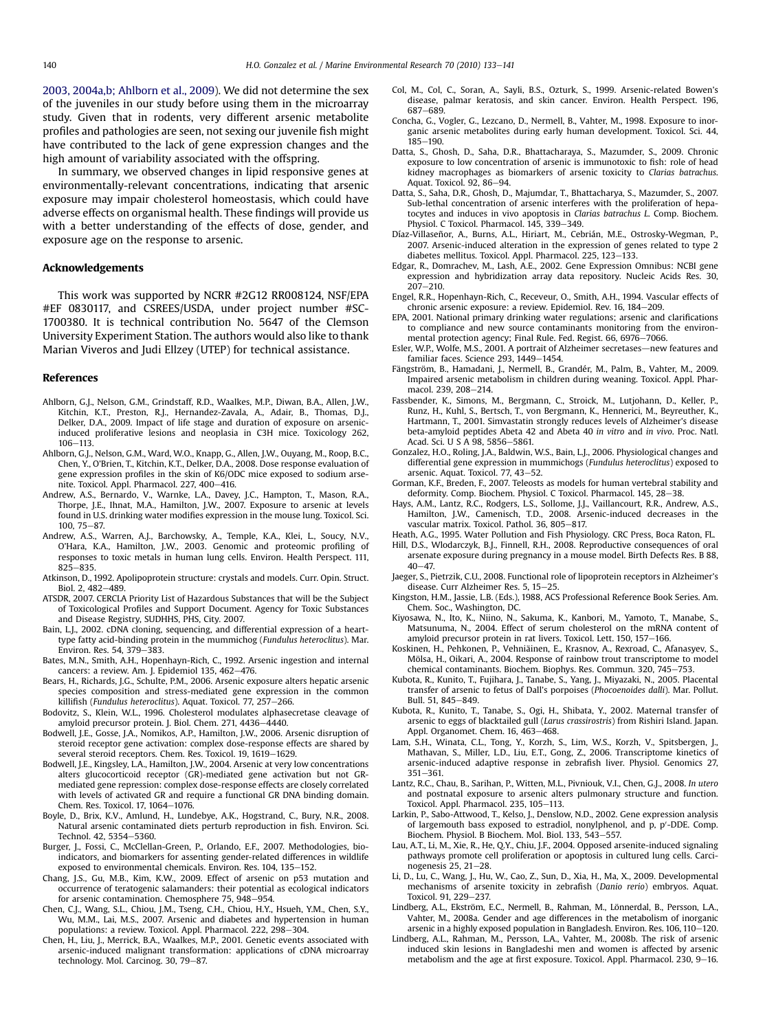<span id="page-7-0"></span>[2003, 2004a,b; Ahlborn et al., 2009](#page-8-0)). We did not determine the sex of the juveniles in our study before using them in the microarray study. Given that in rodents, very different arsenic metabolite profiles and pathologies are seen, not sexing our juvenile fish might have contributed to the lack of gene expression changes and the high amount of variability associated with the offspring.

In summary, we observed changes in lipid responsive genes at environmentally-relevant concentrations, indicating that arsenic exposure may impair cholesterol homeostasis, which could have adverse effects on organismal health. These findings will provide us with a better understanding of the effects of dose, gender, and exposure age on the response to arsenic.

### Acknowledgements

This work was supported by NCRR #2G12 RR008124, NSF/EPA #EF 0830117, and CSREES/USDA, under project number #SC-1700380. It is technical contribution No. 5647 of the Clemson University Experiment Station. The authors would also like to thank Marian Viveros and Judi Ellzey (UTEP) for technical assistance.

#### References

- Ahlborn, G.J., Nelson, G.M., Grindstaff, R.D., Waalkes, M.P., Diwan, B.A., Allen, J.W., Kitchin, K.T., Preston, R.J., Hernandez-Zavala, A., Adair, B., Thomas, D.J., Delker, D.A., 2009. Impact of life stage and duration of exposure on arsenicinduced proliferative lesions and neoplasia in C3H mice. Toxicology 262, 106-113
- Ahlborn, G.J., Nelson, G.M., Ward, W.O., Knapp, G., Allen, J.W., Ouyang, M., Roop, B.C., Chen, Y., O'Brien, T., Kitchin, K.T., Delker, D.A., 2008. Dose response evaluation of gene expression profiles in the skin of K6/ODC mice exposed to sodium arsenite. Toxicol. Appl. Pharmacol. 227, 400-416.
- Andrew, A.S., Bernardo, V., Warnke, L.A., Davey, J.C., Hampton, T., Mason, R.A., Thorpe, J.E., Ihnat, M.A., Hamilton, J.W., 2007. Exposure to arsenic at levels found in U.S. drinking water modifies expression in the mouse lung. Toxicol. Sci.  $100.75 - 87.$
- Andrew, A.S., Warren, A.J., Barchowsky, A., Temple, K.A., Klei, L., Soucy, N.V., O'Hara, K.A., Hamilton, J.W., 2003. Genomic and proteomic profiling of responses to toxic metals in human lung cells. Environ. Health Perspect. 111,  $825 - 835$
- Atkinson, D., 1992. Apolipoprotein structure: crystals and models. Curr. Opin. Struct.  $Biol. 2, 482-489.$
- ATSDR, 2007. CERCLA Priority List of Hazardous Substances that will be the Subject of Toxicological Profiles and Support Document. Agency for Toxic Substances and Disease Registry, SUDHHS, PHS, City. 2007.
- Bain, L.J., 2002. cDNA cloning, sequencing, and differential expression of a hearttype fatty acid-binding protein in the mummichog (Fundulus heteroclitus). Mar.<br>Environ. Res. 54, 379–383.
- Bates, M.N., Smith, A.H., Hopenhayn-Rich, C., 1992. Arsenic ingestion and internal cancers: a review. Am. J. Epidemiol 135, 462-476.
- Bears, H., Richards, J.G., Schulte, P.M., 2006. Arsenic exposure alters hepatic arsenic species composition and stress-mediated gene expression in the common killifish (Fundulus heteroclitus). Aquat. Toxicol. 77, 257-266.
- Bodovitz, S., Klein, W.L., 1996. Cholesterol modulates alphasecretase cleavage of amyloid precursor protein. J. Biol. Chem. 271, 4436-4440.
- Bodwell, J.E., Gosse, J.A., Nomikos, A.P., Hamilton, J.W., 2006. Arsenic disruption of steroid receptor gene activation: complex dose-response effects are shared by several steroid receptors. Chem. Res. Toxicol. 19, 1619–1629.
- Bodwell, J.E., Kingsley, L.A., Hamilton, J.W., 2004. Arsenic at very low concentrations alters glucocorticoid receptor (GR)-mediated gene activation but not GRmediated gene repression: complex dose-response effects are closely correlated with levels of activated GR and require a functional GR DNA binding domain. Chem. Res. Toxicol. 17, 1064-1076.
- Boyle, D., Brix, K.V., Amlund, H., Lundebye, A.K., Hogstrand, C., Bury, N.R., 2008. Natural arsenic contaminated diets perturb reproduction in fish. Environ. Sci. Technol. 42, 5354-5360.
- Burger, J., Fossi, C., McClellan-Green, P., Orlando, E.F., 2007. Methodologies, bioindicators, and biomarkers for assenting gender-related differences in wildlife exposed to environmental chemicals. Environ. Res. 104, 135–152.
- Chang, J.S., Gu, M.B., Kim, K.W., 2009. Effect of arsenic on p53 mutation and occurrence of teratogenic salamanders: their potential as ecological indicators for arsenic contamination. Chemosphere 75, 948-954.
- Chen, C.J., Wang, S.L., Chiou, J.M., Tseng, C.H., Chiou, H.Y., Hsueh, Y.M., Chen, S.Y., Wu, M.M., Lai, M.S., 2007. Arsenic and diabetes and hypertension in human populations: a review. Toxicol. Appl. Pharmacol. 222, 298-304.
- Chen, H., Liu, J., Merrick, B.A., Waalkes, M.P., 2001. Genetic events associated with arsenic-induced malignant transformation: applications of cDNA microarray technology. Mol. Carcinog. 30, 79-87.
- Col, M., Col, C., Soran, A., Sayli, B.S., Ozturk, S., 1999. Arsenic-related Bowen's disease, palmar keratosis, and skin cancer. Environ. Health Perspect. 196, 687-689.
- Concha, G., Vogler, G., Lezcano, D., Nermell, B., Vahter, M., 1998. Exposure to inorganic arsenic metabolites during early human development. Toxicol. Sci. 44,  $185 - 190.$
- Datta, S., Ghosh, D., Saha, D.R., Bhattacharaya, S., Mazumder, S., 2009. Chronic exposure to low concentration of arsenic is immunotoxic to fish: role of head kidney macrophages as biomarkers of arsenic toxicity to Clarias batrachus. Aquat. Toxicol. 92, 86-94.
- Datta, S., Saha, D.R., Ghosh, D., Majumdar, T., Bhattacharya, S., Mazumder, S., 2007. Sub-lethal concentration of arsenic interferes with the proliferation of hepatocytes and induces in vivo apoptosis in Clarias batrachus L. Comp. Biochem. Physiol. C Toxicol. Pharmacol. 145, 339-349.
- Díaz-Villaseñor, A., Burns, A.L., Hiriart, M., Cebrián, M.E., Ostrosky-Wegman, P., 2007. Arsenic-induced alteration in the expression of genes related to type 2 diabetes mellitus. Toxicol. Appl. Pharmacol. 225, 123-133.
- Edgar, R., Domrachev, M., Lash, A.E., 2002. Gene Expression Omnibus: NCBI gene expression and hybridization array data repository. Nucleic Acids Res. 30,  $207 - 210$
- Engel, R.R., Hopenhayn-Rich, C., Receveur, O., Smith, A.H., 1994. Vascular effects of chronic arsenic exposure: a review. Epidemiol. Rev. 16, 184-209.
- EPA, 2001. National primary drinking water regulations; arsenic and clarifications to compliance and new source contaminants monitoring from the environmental protection agency; Final Rule. Fed. Regist. 66, 6976-7066.
- Esler, W.P., Wolfe, M.S., 2001. A portrait of Alzheimer secretases—new features and familiar faces. Science 293, 1449-1454.
- Fängström, B., Hamadani, J., Nermell, B., Grandér, M., Palm, B., Vahter, M., 2009. Impaired arsenic metabolism in children during weaning. Toxicol. Appl. Pharmacol. 239, 208-214.
- Fassbender, K., Simons, M., Bergmann, C., Stroick, M., Lutjohann, D., Keller, P., Runz, H., Kuhl, S., Bertsch, T., von Bergmann, K., Hennerici, M., Beyreuther, K., Hartmann, T., 2001. Simvastatin strongly reduces levels of Alzheimer's disease beta-amyloid peptides Abeta 42 and Abeta 40 in vitro and in vivo. Proc. Natl. Acad. Sci. U S A 98, 5856-5861.
- Gonzalez, H.O., Roling, J.A., Baldwin, W.S., Bain, L.J., 2006. Physiological changes and differential gene expression in mummichogs (Fundulus heteroclitus) exposed to arsenic. Aquat. Toxicol. 77, 43-52.
- Gorman, K.F., Breden, F., 2007. Teleosts as models for human vertebral stability and deformity. Comp. Biochem. Physiol. C Toxicol. Pharmacol. 145, 28-38.
- Hays, A.M., Lantz, R.C., Rodgers, L.S., Sollome, J.J., Vaillancourt, R.R., Andrew, A.S., Hamilton, J.W., Camenisch, T.D., 2008. Arsenic-induced decreases in the vascular matrix. Toxicol. Pathol. 36, 805-817.
- Heath, A.G., 1995. Water Pollution and Fish Physiology. CRC Press, Boca Raton, FL.
- Hill, D.S., Wlodarczyk, B.J., Finnell, R.H., 2008. Reproductive consequences of oral arsenate exposure during pregnancy in a mouse model. Birth Defects Res. B 88,  $40 - 47$ .
- Jaeger, S., Pietrzik, C.U., 2008. Functional role of lipoprotein receptors in Alzheimer's disease. Curr Alzheimer Res. 5, 15-25.
- Kingston, H.M., Jassie, L.B. (Eds.), 1988, ACS Professional Reference Book Series. Am. Chem. Soc., Washington, DC.
- Kiyosawa, N., Ito, K., Niino, N., Sakuma, K., Kanbori, M., Yamoto, T., Manabe, S., Matsunuma, N., 2004. Effect of serum cholesterol on the mRNA content of amyloid precursor protein in rat livers. Toxicol. Lett. 150, 157-166.
- Koskinen, H., Pehkonen, P., Vehniäinen, E., Krasnov, A., Rexroad, C., Afanasyev, S., Mölsa, H., Oikari, A., 2004. Response of rainbow trout transcriptome to model chemical contaminants. Biochem. Biophys. Res. Commun. 320, 745-753.
- Kubota, R., Kunito, T., Fujihara, J., Tanabe, S., Yang, J., Miyazaki, N., 2005. Placental transfer of arsenic to fetus of Dall's porpoises (Phocoenoides dalli). Mar. Pollut. Bull. 51, 845-849.
- Kubota, R., Kunito, T., Tanabe, S., Ogi, H., Shibata, Y., 2002. Maternal transfer of arsenic to eggs of blacktailed gull (Larus crassirostris) from Rishiri Island. Japan. Appl. Organomet. Chem. 16, 463-468.
- Lam, S.H., Winata, C.L., Tong, Y., Korzh, S., Lim, W.S., Korzh, V., Spitsbergen, J., Mathavan, S., Miller, L.D., Liu, E.T., Gong, Z., 2006. Transcriptome kinetics of arsenic-induced adaptive response in zebrafish liver. Physiol. Genomics 27,  $351 - 361.$
- Lantz, R.C., Chau, B., Sarihan, P., Witten, M.L., Pivniouk, V.I., Chen, G.J., 2008. In utero and postnatal exposure to arsenic alters pulmonary structure and function. Toxicol. Appl. Pharmacol. 235, 105-113.
- Larkin, P., Sabo-Attwood, T., Kelso, J., Denslow, N.D., 2002. Gene expression analysis of largemouth bass exposed to estradiol, nonylphenol, and  $p$ ,  $p'$ -DDE. Comp. Biochem. Physiol. B Biochem. Mol. Biol. 133, 543-557.
- Lau, A.T., Li, M., Xie, R., He, Q.Y., Chiu, J.F., 2004. Opposed arsenite-induced signaling pathways promote cell proliferation or apoptosis in cultured lung cells. Carcinogenesis  $25.21 - 28.$
- Li, D., Lu, C., Wang, J., Hu, W., Cao, Z., Sun, D., Xia, H., Ma, X., 2009. Developmental mechanisms of arsenite toxicity in zebrafish (Danio rerio) embryos. Aquat. Toxicol. 91, 229-237.
- Lindberg, A.L., Ekström, E.C., Nermell, B., Rahman, M., Lönnerdal, B., Persson, L.A., Vahter, M., 2008a. Gender and age differences in the metabolism of inorganic arsenic in a highly exposed population in Bangladesh. Environ. Res. 106, 110-120.
- Lindberg, A.L., Rahman, M., Persson, L.A., Vahter, M., 2008b. The risk of arsenic induced skin lesions in Bangladeshi men and women is affected by arsenic metabolism and the age at first exposure. Toxicol. Appl. Pharmacol.  $230, 9-16$ .